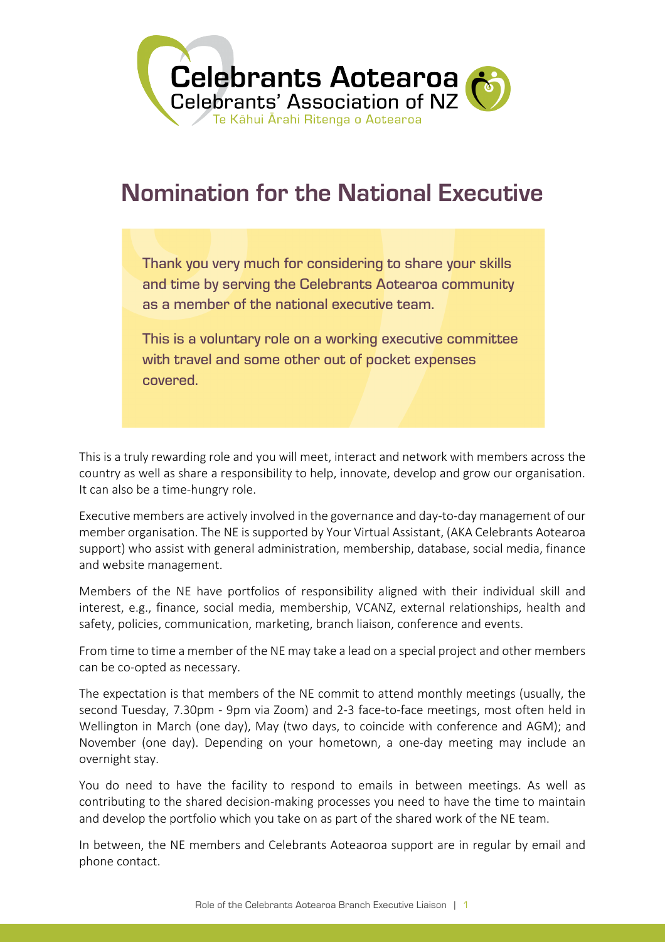

# Nomination for the National Executive

Thank you very much for considering to share your skills and time by serving the Celebrants Aotearoa community as a member of the national executive team.

This is a voluntary role on a working executive committee with travel and some other out of pocket expenses covered.

This is a truly rewarding role and you will meet, interact and network with members across the country as well as share a responsibility to help, innovate, develop and grow our organisation. It can also be a time-hungry role.

Executive members are actively involved in the governance and day-to-day management of our member organisation. The NE is supported by Your Virtual Assistant, (AKA Celebrants Aotearoa support) who assist with general administration, membership, database, social media, finance and website management.

Members of the NE have portfolios of responsibility aligned with their individual skill and interest, e.g., finance, social media, membership, VCANZ, external relationships, health and safety, policies, communication, marketing, branch liaison, conference and events.

From time to time a member of the NE may take a lead on a special project and other members can be co-opted as necessary.

The expectation is that members of the NE commit to attend monthly meetings (usually, the second Tuesday, 7.30pm - 9pm via Zoom) and 2-3 face-to-face meetings, most often held in Wellington in March (one day), May (two days, to coincide with conference and AGM); and November (one day). Depending on your hometown, a one-day meeting may include an overnight stay.

You do need to have the facility to respond to emails in between meetings. As well as contributing to the shared decision-making processes you need to have the time to maintain and develop the portfolio which you take on as part of the shared work of the NE team.

In between, the NE members and Celebrants Aoteaoroa support are in regular by email and phone contact.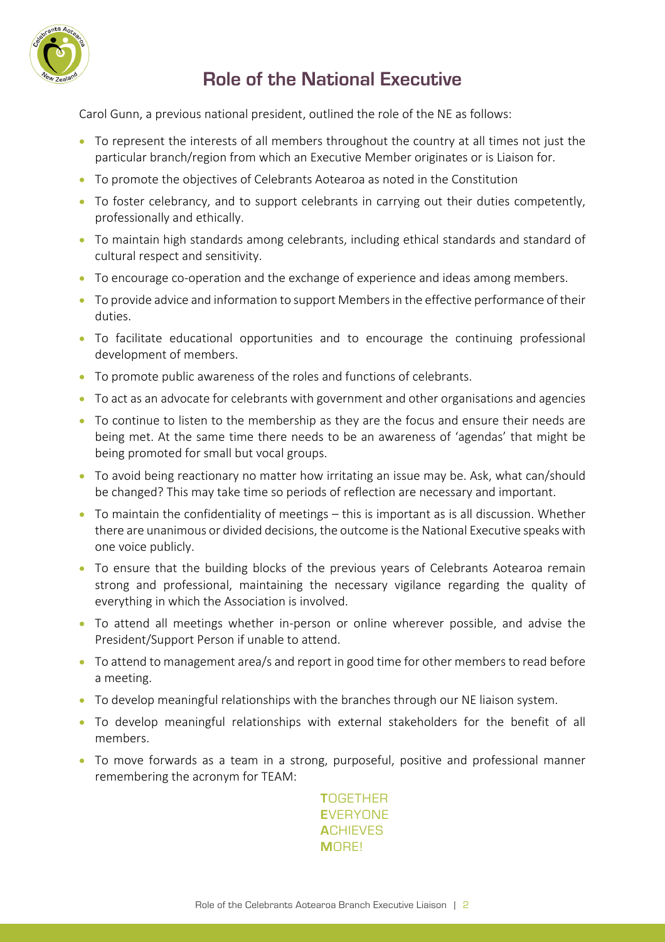

## Role of the National Executive

Carol Gunn, a previous national president, outlined the role of the NE as follows:

- To represent the interests of all members throughout the country at all times not just the particular branch/region from which an Executive Member originates or is Liaison for.
- To promote the objectives of Celebrants Aotearoa as noted in the Constitution
- To foster celebrancy, and to support celebrants in carrying out their duties competently, professionally and ethically.
- To maintain high standards among celebrants, including ethical standards and standard of cultural respect and sensitivity.
- To encourage co-operation and the exchange of experience and ideas among members.
- To provide advice and information to support Members in the effective performance of their duties.
- To facilitate educational opportunities and to encourage the continuing professional development of members.
- To promote public awareness of the roles and functions of celebrants.
- To act as an advocate for celebrants with government and other organisations and agencies
- To continue to listen to the membership as they are the focus and ensure their needs are being met. At the same time there needs to be an awareness of 'agendas' that might be being promoted for small but vocal groups.
- To avoid being reactionary no matter how irritating an issue may be. Ask, what can/should be changed? This may take time so periods of reflection are necessary and important.
- To maintain the confidentiality of meetings this is important as is all discussion. Whether there are unanimous or divided decisions, the outcome is the National Executive speaks with one voice publicly.
- To ensure that the building blocks of the previous years of Celebrants Aotearoa remain strong and professional, maintaining the necessary vigilance regarding the quality of everything in which the Association is involved.
- To attend all meetings whether in-person or online wherever possible, and advise the President/Support Person if unable to attend.
- To attend to management area/s and report in good time for other members to read before a meeting.
- To develop meaningful relationships with the branches through our NE liaison system.
- To develop meaningful relationships with external stakeholders for the benefit of all members.
- To move forwards as a team in a strong, purposeful, positive and professional manner remembering the acronym for TEAM:

TOGETHER EVERYONE **ACHIEVES** MORE!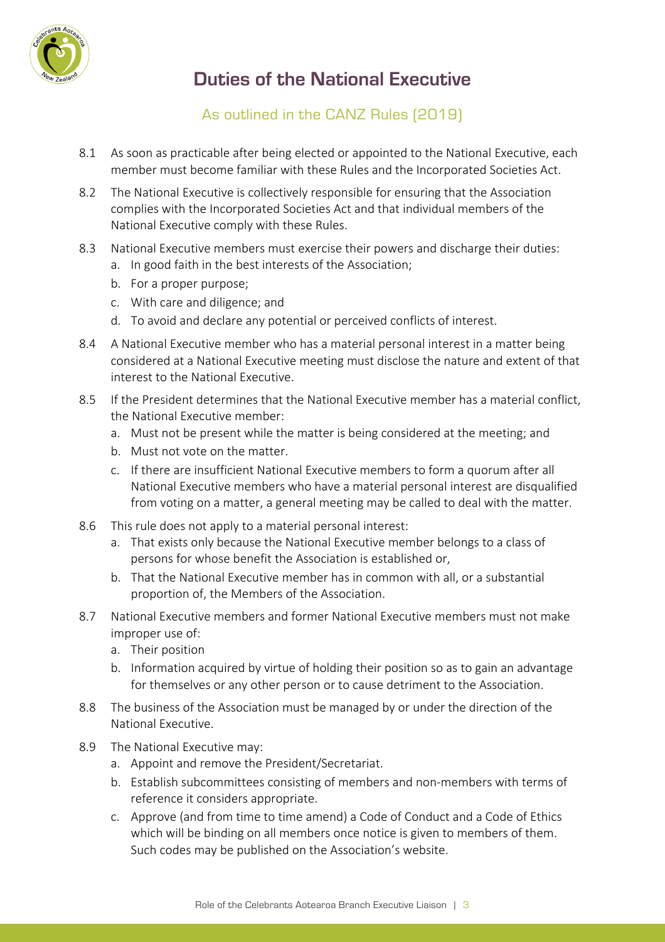

## Duties of the National Executive

#### As outlined in the CANZ Rules (2019)

- 8.1 As soon as practicable after being elected or appointed to the National Executive, each member must become familiar with these Rules and the Incorporated Societies Act.
- 8.2 The National Executive is collectively responsible for ensuring that the Association complies with the Incorporated Societies Act and that individual members of the National Executive comply with these Rules.
- 8.3 National Executive members must exercise their powers and discharge their duties: a. In good faith in the best interests of the Association;
	- b. For a proper purpose;
	- c. With care and diligence; and
	- d. To avoid and declare any potential or perceived conflicts of interest.
- 8.4 A National Executive member who has a material personal interest in a matter being considered at a National Executive meeting must disclose the nature and extent of that interest to the National Executive.
- 8.5 If the President determines that the National Executive member has a material conflict, the National Executive member:
	- a. Must not be present while the matter is being considered at the meeting; and
	- b. Must not vote on the matter.
	- c. If there are insufficient National Executive members to form a quorum after all National Executive members who have a material personal interest are disqualified from voting on a matter, a general meeting may be called to deal with the matter.
- 8.6 This rule does not apply to a material personal interest:
	- a. That exists only because the National Executive member belongs to a class of persons for whose benefit the Association is established or,
	- b. That the National Executive member has in common with all, or a substantial proportion of, the Members of the Association.
- 8.7 National Executive members and former National Executive members must not make improper use of:
	- a. Their position
	- b. Information acquired by virtue of holding their position so as to gain an advantage for themselves or any other person or to cause detriment to the Association.
- 8.8 The business of the Association must be managed by or under the direction of the National Executive.
- 8.9 The National Executive may:
	- a. Appoint and remove the President/Secretariat.
	- b. Establish subcommittees consisting of members and non-members with terms of reference it considers appropriate.
	- c. Approve (and from time to time amend) a Code of Conduct and a Code of Ethics which will be binding on all members once notice is given to members of them. Such codes may be published on the Association's website.